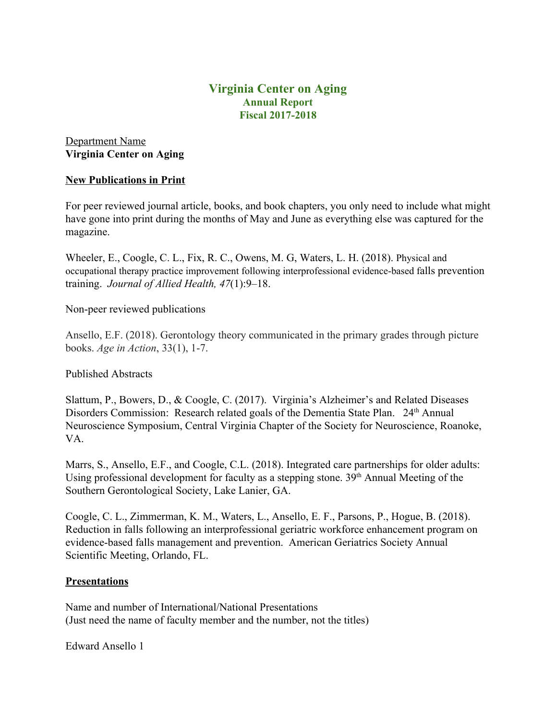# **Virginia Center on Aging Annual Report Fiscal 2017-2018**

# Department Name **Virginia Center on Aging**

## **New Publications in Print**

For peer reviewed journal article, books, and book chapters, you only need to include what might have gone into print during the months of May and June as everything else was captured for the magazine.

Wheeler, E., Coogle, C. L., Fix, R. C., Owens, M. G, Waters, L. H. (2018). Physical and occupational therapy practice improvement following interprofessional evidence-based falls prevention training. *Journal of Allied Health, 47*(1):9–18.

Non-peer reviewed publications

Ansello, E.F. (2018). Gerontology theory communicated in the primary grades through picture books. *Age in Action*, 33(1), 1-7.

## Published Abstracts

Slattum, P., Bowers, D., & Coogle, C. (2017). Virginia's Alzheimer's and Related Diseases Disorders Commission: Research related goals of the Dementia State Plan. 24<sup>th</sup> Annual Neuroscience Symposium, Central Virginia Chapter of the Society for Neuroscience, Roanoke, VA.

Marrs, S., Ansello, E.F., and Coogle, C.L. (2018). Integrated care partnerships for older adults: Using professional development for faculty as a stepping stone. 39<sup>th</sup> Annual Meeting of the Southern Gerontological Society, Lake Lanier, GA.

Coogle, C. L., Zimmerman, K. M., Waters, L., Ansello, E. F., Parsons, P., Hogue, B. (2018). Reduction in falls following an interprofessional geriatric workforce enhancement program on evidence-based falls management and prevention. American Geriatrics Society Annual Scientific Meeting, Orlando, FL.

### **Presentations**

Name and number of International/National Presentations (Just need the name of faculty member and the number, not the titles)

Edward Ansello 1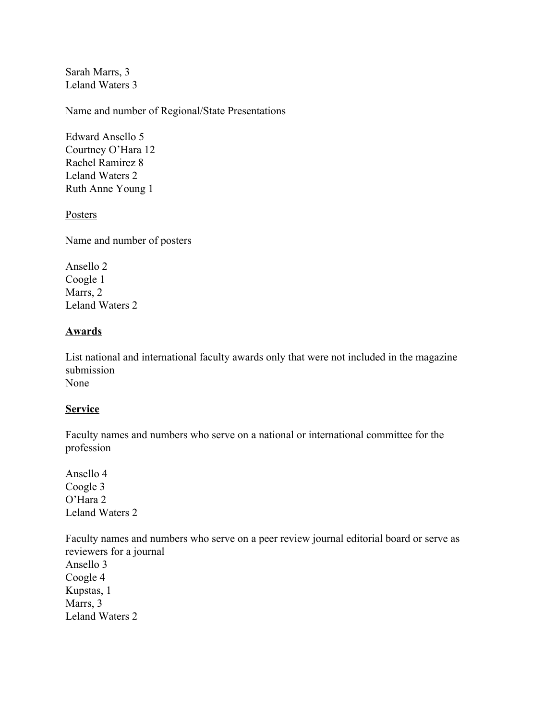Sarah Marrs, 3 Leland Waters 3

Name and number of Regional/State Presentations

Edward Ansello 5 Courtney O'Hara 12 Rachel Ramirez 8 Leland Waters 2 Ruth Anne Young 1

Posters

Name and number of posters

Ansello 2 Coogle 1 Marrs, 2 Leland Waters 2

## **Awards**

List national and international faculty awards only that were not included in the magazine submission None

### **Service**

Faculty names and numbers who serve on a national or international committee for the profession

Ansello 4 Coogle 3 O'Hara 2 Leland Waters 2

Faculty names and numbers who serve on a peer review journal editorial board or serve as reviewers for a journal Ansello 3 Coogle 4 Kupstas, 1 Marrs, 3 Leland Waters 2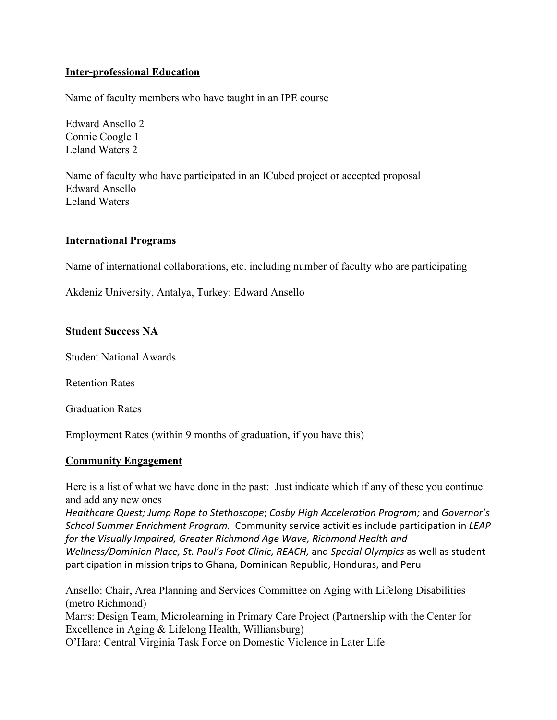## **Inter-professional Education**

Name of faculty members who have taught in an IPE course

Edward Ansello 2 Connie Coogle 1 Leland Waters 2

Name of faculty who have participated in an ICubed project or accepted proposal Edward Ansello Leland Waters

### **International Programs**

Name of international collaborations, etc. including number of faculty who are participating

Akdeniz University, Antalya, Turkey: Edward Ansello

#### **Student Success NA**

Student National Awards

Retention Rates

Graduation Rates

Employment Rates (within 9 months of graduation, if you have this)

### **Community Engagement**

Here is a list of what we have done in the past: Just indicate which if any of these you continue and add any new ones

*Healthcare Quest; Jump Rope to Stethoscope*; *Cosby High Acceleration Program;* and *Governor's School Summer Enrichment Program.* Community service activities include participation in *LEAP for the Visually Impaired, Greater Richmond Age Wave, Richmond Health and*

*Wellness/Dominion Place, St. Paul's Foot Clinic, REACH,* and *Special Olympics* as well as student participation in mission trips to Ghana, Dominican Republic, Honduras, and Peru

Ansello: Chair, Area Planning and Services Committee on Aging with Lifelong Disabilities (metro Richmond) Marrs: Design Team, Microlearning in Primary Care Project (Partnership with the Center for Excellence in Aging & Lifelong Health, Williansburg)

O'Hara: Central Virginia Task Force on Domestic Violence in Later Life